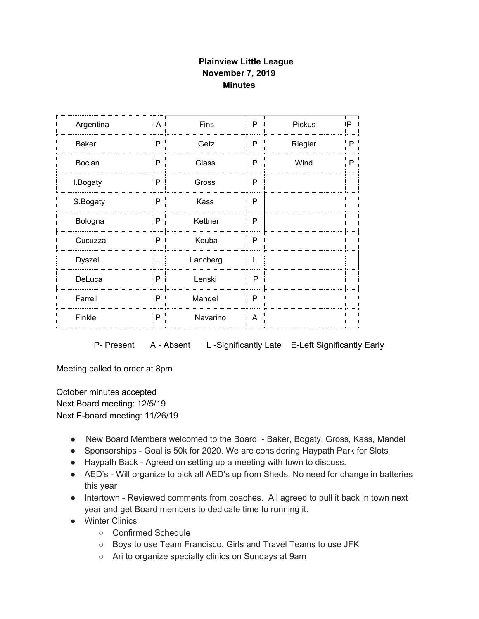## **Plainview Little League November 7, 2019 Minutes**

| Argentina     | A | <b>Fins</b> | P            | <b>Pickus</b> | P |
|---------------|---|-------------|--------------|---------------|---|
| <b>Baker</b>  | P | Getz        | P            | Riegler       | P |
| Bocian        | P | Glass       | P            | Wind          | P |
| I.Bogaty      | P | Gross       | P            |               |   |
| S.Bogaty      | P | Kass        | P            |               |   |
| Bologna       | P | Kettner     | P            |               |   |
| Cucuzza       | P | Kouba       | P            |               |   |
| <b>Dyszel</b> | L | Lancberg    | $\mathbf{L}$ |               |   |
| DeLuca        | P | Lenski      | P            |               |   |
| Farrell       | P | Mandel      | P            |               |   |
| Finkle        | P | Navarino    | A            |               |   |

P- Present A - Absent L-Significantly Late E-Left Significantly Early

Meeting called to order at 8pm

October minutes accepted Next Board meeting: 12/5/19 Next E-board meeting: 11/26/19

- New Board Members welcomed to the Board. Baker, Bogaty, Gross, Kass, Mandel
- Sponsorships Goal is 50k for 2020. We are considering Haypath Park for Slots
- Haypath Back Agreed on setting up a meeting with town to discuss.
- AED's Will organize to pick all AED's up from Sheds. No need for change in batteries this year
- Intertown Reviewed comments from coaches. All agreed to pull it back in town next year and get Board members to dedicate time to running it.
- Winter Clinics
	- Confirmed Schedule
	- Boys to use Team Francisco, Girls and Travel Teams to use JFK
	- Ari to organize specialty clinics on Sundays at 9am